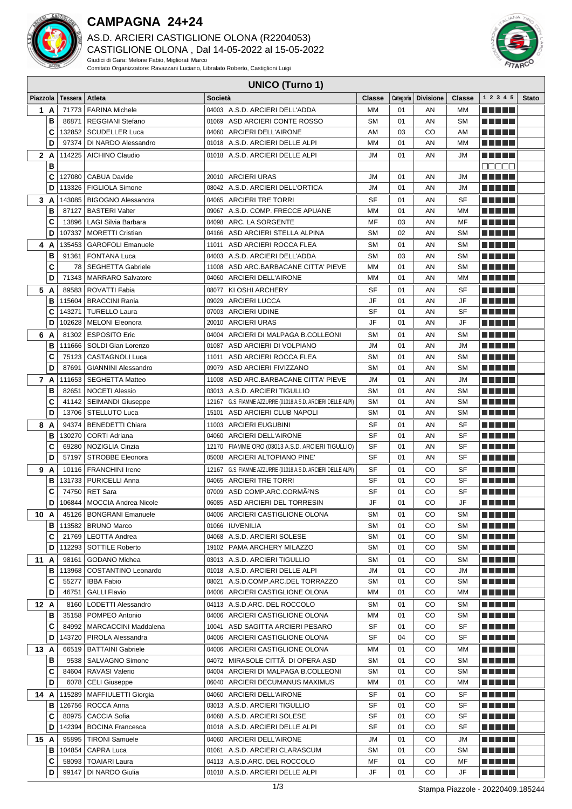

## **CAMPAGNA 24+24**

AS.D. ARCIERI CASTIGLIONE OLONA (R2204053) CASTIGLIONE OLONA , Dal 14-05-2022 al 15-05-2022 Giudici di Gara: Melone Fabio, Migliorati Marco Comitato Organizzatore: Ravazzani Luciano, Libralato Roberto, Castiglioni Luigi



## **UNICO (Turno 1)**

| Piazzola |               | Tessera         | Atleta                                         | Società                                                             | <b>Classe</b>          |          | Categoria   Divisione | Classe                 | 1 2 3 4 5                      | <b>Stato</b> |
|----------|---------------|-----------------|------------------------------------------------|---------------------------------------------------------------------|------------------------|----------|-----------------------|------------------------|--------------------------------|--------------|
| 1 A      |               | 71773           | <b>FARINA Michele</b>                          | 04003 A.S.D. ARCIERI DELL'ADDA                                      | <b>MM</b>              | 01       | AN                    | МM                     | m minimi                       |              |
|          | В             | 86871           | <b>REGGIANI Stefano</b>                        | 01069 ASD ARCIERI CONTE ROSSO                                       | <b>SM</b>              | 01       | AN                    | <b>SM</b>              | n din Ni                       |              |
|          | C             | 132852          | <b>SCUDELLER Luca</b>                          | 04060 ARCIERI DELL'AIRONE                                           | AM                     | 03       | CO                    | AM                     | n di Biblio                    |              |
|          | D             | 97374           | DI NARDO Alessandro                            | 01018 A.S.D. ARCIERI DELLE ALPI                                     | <b>MM</b>              | 01       | AN                    | MМ                     | M M M M M                      |              |
|          | 2 A<br>114225 |                 | <b>AICHINO Claudio</b>                         | 01018 A.S.D. ARCIERI DELLE ALPI                                     | JM                     | 01       | AN                    | <b>JM</b>              | n nin nin                      |              |
|          | В             |                 |                                                |                                                                     |                        |          |                       |                        | Maaaa                          |              |
|          | C             | 127080          | <b>CABUA Davide</b>                            | 20010 ARCIERI URAS                                                  | JМ                     | 01       | AN                    | JM                     | M M M M M                      |              |
|          | D             | 113326          | <b>FIGLIOLA Simone</b>                         | 08042 A.S.D. ARCIERI DELL'ORTICA                                    | <b>JM</b>              | 01       | AN                    | <b>JM</b>              | n din bin                      |              |
|          | 3 A           | 143085          | <b>BIGOGNO Alessandra</b>                      | 04065 ARCIERI TRE TORRI                                             | SF                     | 01       | AN                    | SF                     | n ni min                       |              |
|          | В             | 87127           | <b>BASTERI Valter</b>                          | 09067 A.S.D. COMP. FRECCE APUANE                                    | МM                     | 01       | AN                    | MM                     |                                |              |
|          | C             | 13896           | LAGI Silvia Barbara                            | 04098 ARC. LA SORGENTE                                              | MF                     | 03       | AN                    | MF                     | TI TITLE                       |              |
|          | D             | 107337          | MORETTI Cristian                               | 04166 ASD ARCIERI STELLA ALPINA                                     | <b>SM</b>              | 02       | AN                    | <b>SM</b>              | TI TITLE                       |              |
|          | 4 A           | 135453          | <b>GAROFOLI Emanuele</b>                       | 11011 ASD ARCIERI ROCCA FLEA                                        | <b>SM</b>              | 01       | AN                    | SΜ                     | M M M M M                      |              |
|          | В             |                 | 91361   FONTANA Luca                           | 04003 A.S.D. ARCIERI DELL'ADDA                                      | <b>SM</b><br>03<br>AN  |          | <b>SM</b>             | TI TITLET              |                                |              |
|          | C             | 78              | <b>SEGHETTA Gabriele</b>                       | 11008 ASD ARC BARBACANE CITTA' PIEVE                                | <b>MM</b>              | 01       | AN                    | <b>SM</b>              | MA MATILI                      |              |
| D        |               | 71343           | <b>MARRARO Salvatore</b>                       | 04060 ARCIERI DELL'AIRONE                                           | MM                     | 01       | AN                    | MM                     | n na m                         |              |
|          | 5 A           | 89583           | ROVATTI Fabia                                  | 08077 KI OSHI ARCHERY                                               | <b>SF</b>              | 01       | AN                    | <b>SF</b>              | MA MAR                         |              |
|          | В             | 115604          | <b>BRACCINI Rania</b>                          | 09029 ARCIERI LUCCA                                                 | JF                     | 01       | AN                    | JF                     | M M M M M                      |              |
|          | C             | 143271          | <b>TURELLO Laura</b>                           | 07003 ARCIERI UDINE                                                 | <b>SF</b>              | 01       | AN                    | <b>SF</b>              | n na m                         |              |
|          | D             | 102628          | <b>MELONI</b> Eleonora                         | 20010 ARCIERI URAS                                                  | <b>JF</b>              | 01       | AN                    | JF                     | a di kacamatan Ing             |              |
| 6        | A             | 81302           | <b>ESPOSITO Eric</b>                           | 04004 ARCIERI DI MALPAGA B.COLLEONI                                 | <b>SM</b>              | 01       | AN                    | <b>SM</b>              | n na m                         |              |
|          | в             | 111666          | SOLDI Gian Lorenzo                             | 01087 ASD ARCIERI DI VOLPIANO                                       | <b>JM</b>              | 01       | AN                    | <b>JM</b>              | MA MARIT                       |              |
|          | C             | 75123           | <b>CASTAGNOLI Luca</b>                         | 11011 ASD ARCIERI ROCCA FLEA                                        | <b>SM</b>              | 01       | AN                    | <b>SM</b>              | n di Tinggi                    |              |
|          | D             | 87691           | <b>GIANNINI Alessandro</b>                     | 09079 ASD ARCIERI FIVIZZANO                                         | <b>SM</b>              | 01       | AN                    | <b>SM</b>              | M M M M M                      |              |
|          | 7 A           | 111653          | <b>SEGHETTA Matteo</b>                         | 11008 ASD ARC.BARBACANE CITTA' PIEVE                                | JM                     | 01       | AN                    | JM                     | M M M M M                      |              |
|          | В             | 82651           | <b>NOCETI Alessio</b>                          | 03013 A.S.D. ARCIERI TIGULLIO                                       | <b>SM</b>              | 01       | AN                    | <b>SM</b>              |                                |              |
|          | C             | 41142           | <b>SEIMANDI Giuseppe</b>                       | 12167 G.S. FIAMME AZZURRE (01018 A.S.D. ARCIERI DELLE ALPI)         | <b>SM</b>              | 01       | AN                    | <b>SM</b>              | M M M M M                      |              |
|          | D             | 13706           | STELLUTO Luca                                  | 15101 ASD ARCIERI CLUB NAPOLI                                       | <b>SM</b>              | 01       | AN                    | <b>SM</b>              | <u> La Barta</u>               |              |
|          | 8 A<br>94374  |                 | <b>BENEDETTI Chiara</b>                        | 11003 ARCIERI EUGUBINI                                              | SF                     | 01       | ΑN                    | SF                     | M M M M M                      |              |
|          | В             | 130270          | <b>CORTI Adriana</b>                           | 04060 ARCIERI DELL'AIRONE                                           | <b>SF</b>              | 01       | AN                    | <b>SF</b>              | M M M M M                      |              |
|          | C             | 69280           | NOZIGLIA Cinzia                                | 12170 FIAMME ORO (03013 A.S.D. ARCIERI TIGULLIO)                    | <b>SF</b>              | 01       | AN                    | <b>SF</b>              | n di Tito                      |              |
|          | D             | 57197           | <b>STROBBE Eleonora</b>                        | 05008 ARCIERI ALTOPIANO PINE'                                       | <b>SF</b>              | 01       | AN                    | <b>SF</b>              | <u> El El El E</u>             |              |
|          | 9 A           | 10116           | <b>FRANCHINI Irene</b>                         | 12167 G.S. FIAMME AZZURRE (01018 A.S.D. ARCIERI DELLE ALPI)         | SF                     | 01       | CO                    | <b>SF</b>              | MA MATA                        |              |
|          | В             |                 | 131733   PURICELLI Anna                        | 04065 ARCIERI TRE TORRI<br>07009 ASD COMP.ARC.CORMA <sup>2</sup> NS | <b>SF</b><br><b>SF</b> | 01       | CO                    | <b>SF</b><br><b>SF</b> | TITI TITI<br><u> El Bertin</u> |              |
|          | C<br>D        | 74750<br>106844 | <b>RET Sara</b><br><b>MOCCIA Andrea Nicole</b> | 06085 ASD ARCIERI DEL TORRESIN                                      | JF                     | 01<br>01 | CO<br>CO              | JF                     | <b>REBEL</b>                   |              |
|          |               | 45126           | <b>BONGRANI Emanuele</b>                       | 04006 ARCIERI CASTIGLIONE OLONA                                     | <b>SM</b>              | 01       | CO                    | <b>SM</b>              | an an a                        |              |
|          | 10 A<br>в     |                 | <b>BRUNO Marco</b>                             | 01066 IUVENILIA                                                     | SΜ                     | 01       | CO                    | <b>SM</b>              | a da bid                       |              |
|          | С             | 113582<br>21769 | <b>LEOTTA Andrea</b>                           | 04068 A.S.D. ARCIERI SOLESE                                         | <b>SM</b>              | 01       | CO                    | <b>SM</b>              |                                |              |
|          | D             | 112293          | SOTTILE Roberto                                | 19102 PAMA ARCHERY MILAZZO                                          | <b>SM</b>              | 01       | CO                    | SΜ                     | ME NE NE                       |              |
| 11A      |               | 98161           | <b>GODANO Michea</b>                           | 03013 A.S.D. ARCIERI TIGULLIO                                       | <b>SM</b>              | 01       | CO                    | <b>SM</b>              | M SI SI SI S                   |              |
|          | в<br>113968   |                 | COSTANTINO Leonardo                            | 01018 A.S.D. ARCIERI DELLE ALPI                                     | JM                     | 01       | CO                    | JM                     | N N N N N                      |              |
|          | C<br>55277    |                 | <b>IBBA Fabio</b>                              | 08021 A.S.D.COMP.ARC.DEL TORRAZZO                                   | <b>SM</b>              | 01       | CO                    | SΜ                     | n din din                      |              |
|          | D             | 46751           | <b>GALLI Flavio</b>                            | 04006 ARCIERI CASTIGLIONE OLONA                                     | MM                     | 01       | CO                    | ΜМ                     | <u> Literatur</u>              |              |
| 12A      |               | 8160            | LODETTI Alessandro                             | 04113 A.S.D.ARC. DEL ROCCOLO                                        | SМ                     | 01       | CO                    | SМ                     | <u> Literatur</u>              |              |
|          | в             | 35158           | POMPEO Antonio                                 | 04006 ARCIERI CASTIGLIONE OLONA                                     | ΜМ                     | 01       | CO                    | SМ                     | <u> Literatur</u>              |              |
|          | С             | 84992           | MARCACCINI Maddalena                           | 10041 ASD SAGITTA ARCIERI PESARO                                    | SF                     | 01       | CO                    | SF                     | <u>Li se la la</u>             |              |
|          | D             | 143720          | PIROLA Alessandra                              | 04006 ARCIERI CASTIGLIONE OLONA                                     | SF                     | 04       | CO                    | SF                     | <u> Literatur</u>              |              |
| 13 A     |               | 66519           | <b>BATTAINI Gabriele</b>                       | 04006 ARCIERI CASTIGLIONE OLONA                                     | ΜМ                     | 01       | CO                    | MМ                     |                                |              |
|          | B             | 9538            | <b>SALVAGNO Simone</b>                         | 04072 MIRASOLE CITTÀ DI OPERA ASD                                   | <b>SM</b>              | 01       | CO                    | <b>SM</b>              | <u> Literatur</u>              |              |
|          | С             | 84604           | RAVASI Valerio                                 | 04004 ARCIERI DI MALPAGA B.COLLEONI                                 | <b>SM</b>              | 01       | CO                    | <b>SM</b>              | <u> Literatur</u>              |              |
|          | D             | 6078            | CELI Giuseppe                                  | 06040 ARCIERI DECUMANUS MAXIMUS                                     | МM                     | 01       | CO                    | ΜМ                     | <u>Li se la la</u>             |              |
| 14 A     |               | 115289          | <b>MAFFIULETTI Giorgia</b>                     | 04060 ARCIERI DELL'AIRONE                                           | SF                     | 01       | CO                    | SF                     | <u> Literatur</u>              |              |
|          | в             |                 | 126756   ROCCA Anna                            | 03013 A.S.D. ARCIERI TIGULLIO                                       | <b>SF</b>              | 01       | CO                    | SF                     | n di Tito                      |              |
|          | С<br>D        | 80975<br>142394 | <b>CACCIA Sofia</b>                            | 04068 A.S.D. ARCIERI SOLESE                                         | SF<br>SF               | 01<br>01 | CO<br>CO              | SF<br>SF               | e e e e e                      |              |
|          |               |                 | <b>BOCINA Francesca</b>                        | 01018 A.S.D. ARCIERI DELLE ALPI                                     |                        |          |                       |                        | <u> Literatur</u>              |              |
| 15 A     | в             | 95895<br>104854 | <b>TIRONI Samuele</b><br>CAPRA Luca            | 04060 ARCIERI DELL'AIRONE<br>01061 A.S.D. ARCIERI CLARASCUM         | JM<br>SМ               | 01<br>01 | CO<br>CO              | JM<br><b>SM</b>        | <u> Literatur</u><br>M M M M M |              |
|          | С             | 58093           | <b>TOAIARI Laura</b>                           | 04113 A.S.D.ARC. DEL ROCCOLO                                        | ΜF                     | 01       | CO                    | МF                     | <u> Literatur</u>              |              |
|          | D             | 99147           | DI NARDO Giulia                                | 01018 A.S.D. ARCIERI DELLE ALPI                                     | JF                     | 01       | CO                    | JF                     | ME NE H                        |              |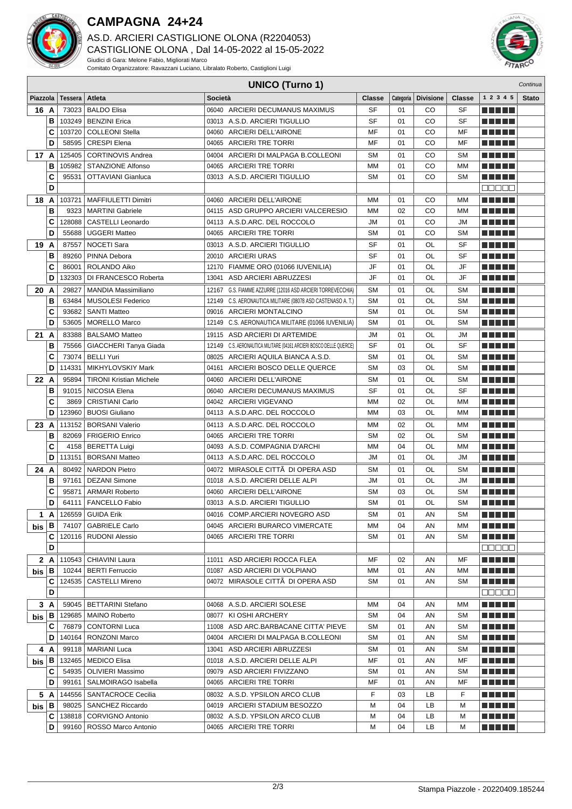

## **CAMPAGNA 24+24**

AS.D. ARCIERI CASTIGLIONE OLONA (R2204053) CASTIGLIONE OLONA , Dal 14-05-2022 al 15-05-2022 Giudici di Gara: Melone Fabio, Migliorati Marco Comitato Organizzatore: Ravazzani Luciano, Libralato Roberto, Castiglioni Luigi





|              | <b>UNICO (Turno 1)</b><br>Continua |         |                                                 |                                                                    |                 |          |                       |                        |                                             |              |
|--------------|------------------------------------|---------|-------------------------------------------------|--------------------------------------------------------------------|-----------------|----------|-----------------------|------------------------|---------------------------------------------|--------------|
| Piazzola     |                                    | Tessera | Atleta                                          | Società                                                            | <b>Classe</b>   |          | Categoria   Divisione | <b>Classe</b>          | 1 2 3 4 5                                   | <b>Stato</b> |
| 16 A         |                                    | 73023   | <b>BALDO Elisa</b>                              | 06040 ARCIERI DECUMANUS MAXIMUS                                    | <b>SF</b>       | 01       | CO                    | <b>SF</b>              | n din bir                                   |              |
|              | В                                  | 103249  | <b>BENZINI Erica</b>                            | 03013 A.S.D. ARCIERI TIGULLIO                                      | <b>SF</b>       | 01       | CO                    | <b>SF</b>              | n din bir                                   |              |
|              | C                                  | 103720  | <b>COLLEONI Stella</b>                          | 04060 ARCIERI DELL'AIRONE                                          | MF              | 01       | CO                    | MF                     | n din ka                                    |              |
|              | D                                  | 58595   | <b>CRESPI Elena</b>                             | 04065 ARCIERI TRE TORRI                                            | MF              | 01       | CO                    | MF                     |                                             |              |
| 17 A         |                                    | 125405  | <b>CORTINOVIS Andrea</b>                        | 04004 ARCIERI DI MALPAGA B.COLLEONI                                | <b>SM</b>       | 01       | CO                    | <b>SM</b>              | MA MPL                                      |              |
|              | в                                  | 105982  | <b>STANZIONE Alfonso</b>                        | 04065 ARCIERI TRE TORRI                                            | MM              | 01       | CO                    | MМ                     | n din ka                                    |              |
|              | C                                  | 95531   | OTTAVIANI Gianluca                              | 03013 A.S.D. ARCIERI TIGULLIO                                      | <b>SM</b>       | 01       | CO                    | <b>SM</b>              | n di Tin                                    |              |
|              | D                                  |         |                                                 |                                                                    |                 |          |                       |                        | anaan                                       |              |
| 18           | A                                  | 103721  | <b>MAFFIULETTI Dimitri</b>                      | 04060 ARCIERI DELL'AIRONE                                          | MМ              | 01       | <b>RICH BILLIN</b>    |                        |                                             |              |
|              | В                                  | 9323    | <b>MARTINI Gabriele</b>                         | 04115 ASD GRUPPO ARCIERI VALCERESIO                                | МM              | 02       | CO                    | MM                     | TI TITLE                                    |              |
|              | C                                  | 128088  | <b>CASTELLI Leonardo</b>                        | 04113 A.S.D.ARC. DEL ROCCOLO                                       | <b>JM</b>       | 01       | CO                    | <b>JM</b>              | T N T D E                                   |              |
|              | D                                  | 55688   | <b>UGGERI Matteo</b>                            | 04065 ARCIERI TRE TORRI                                            | <b>SM</b>       | 01       | CO                    | <b>SM</b>              | MA MBO                                      |              |
| 19 A         |                                    | 87557   | NOCETI Sara                                     | 03013 A.S.D. ARCIERI TIGULLIO                                      | SF              | 01       | OL                    | SF                     |                                             |              |
|              | В                                  | 89260   | PINNA Debora                                    | 20010 ARCIERI URAS                                                 | <b>SF</b>       | 01       | OL                    | <b>SF</b>              | n din bir                                   |              |
|              | C                                  | 86001   | ROLANDO Aiko                                    | 12170 FIAMME ORO (01066 IUVENILIA)                                 | JF              | 01       | OL                    | JF                     | n din Film                                  |              |
|              | D                                  | 132303  | DI FRANCESCO Roberta                            | 13041 ASD ARCIERI ABRUZZESI                                        | JF              | 01       | OL                    | JF                     | n din Film                                  |              |
| 20 A         |                                    | 29827   | <b>MANDIA Massimiliano</b>                      | 12167 G.S. FIAMME AZZURRE (12016 ASD ARCIERI TORREVECCHIA)         | <b>SM</b>       | 01       | OL                    | <b>SM</b>              | n din bir                                   |              |
|              | В                                  | 63484   | <b>MUSOLESI Federico</b>                        | C.S. AERONAUTICA MILITARE (08078 ASD CASTENASO A. T.)<br>12149     | <b>SM</b>       | 01       | OL                    | <b>SM</b>              | n din Film                                  |              |
|              | C                                  | 93682   | <b>SANTI Matteo</b>                             | 09016 ARCIERI MONTALCINO                                           | <b>SM</b>       | 01       | OL                    | <b>SM</b>              | n din bir                                   |              |
|              | D                                  | 53605   | <b>MORELLO Marco</b>                            | 12149 C.S. AERONAUTICA MILITARE (01066 IUVENILIA)                  | <b>SM</b>       | 01       | OL                    | <b>SM</b>              | n din bir                                   |              |
| 21           | A                                  | 83388   | <b>BALSAMO Matteo</b>                           | 19115 ASD ARCIERI DI ARTEMIDE                                      | JМ              | 01       | OL                    | JМ                     | n din Film                                  |              |
|              | В                                  | 75566   | GIACCHERI Tanya Giada                           | 12149 C.S. AERONAUTICA MILITARE (04161 ARCIERI BOSCO DELLE QUERCE) | <b>SF</b>       | 01       | OL                    | <b>SF</b>              |                                             |              |
|              | C                                  | 73074   | <b>BELLI Yuri</b>                               | 08025 ARCIERI AQUILA BIANCA A.S.D.                                 | SΜ              | 01       | OL                    | <b>SM</b>              | n din ka                                    |              |
|              | D                                  | 114331  | MIKHYLOVSKIY Mark                               | 04161 ARCIERI BOSCO DELLE QUERCE                                   | <b>SM</b>       | 03       | OL                    | <b>SM</b>              | n din ka                                    |              |
| 22 A         |                                    | 95894   | <b>TIRONI Kristian Michele</b>                  | 04060 ARCIERI DELL'AIRONE                                          | <b>SM</b>       | 01       | OL                    | <b>SM</b>              | MA MPL                                      |              |
|              | В                                  | 91015   | NICOSIA Elena                                   | 06040 ARCIERI DECUMANUS MAXIMUS                                    | <b>SF</b>       | 01       | OL                    | <b>SF</b>              | n din ka                                    |              |
|              | C                                  | 3869    | <b>CRISTIANI Carlo</b>                          | 04042 ARCIERI VIGEVANO                                             | MМ              | 02       | OL                    | MM                     |                                             |              |
|              | D                                  | 123960  | <b>BUOSI Giuliano</b>                           | 04113 A.S.D.ARC. DEL ROCCOLO                                       | MM              | 03       | OL                    | МM                     |                                             |              |
| 23           | A                                  | 113152  | <b>BORSANI Valerio</b>                          | 04113 A.S.D.ARC. DEL ROCCOLO                                       | MM              | 02       | OL                    | MM                     |                                             |              |
|              | в                                  | 82069   | <b>FRIGERIO Enrico</b>                          | 04065 ARCIERI TRE TORRI                                            | <b>SM</b>       | 02       | OL                    | <b>SM</b>              |                                             |              |
|              | C                                  |         | 4158   BERETTA Luigi                            | 04093 A.S.D. COMPAGNIA D'ARCHI                                     | MM              | 04       | OL                    | MМ                     | n An Din                                    |              |
|              | D                                  | 113151  | <b>BORSANI Matteo</b>                           | 04113 A.S.D.ARC. DEL ROCCOLO                                       | JM              | 01       | OL                    | JM                     | <b>RICH BILLIN</b>                          |              |
| 24 A         |                                    | 80492   | <b>NARDON Pietro</b>                            | 04072 MIRASOLE CITTÃ DI OPERA ASD                                  | <b>SM</b>       | 01       | OL                    | <b>SM</b>              |                                             |              |
|              | В                                  | 97161   | <b>DEZANI Simone</b>                            | 01018 A.S.D. ARCIERI DELLE ALPI                                    | JM              | 01       | OL                    | JМ                     | ma matsa                                    |              |
|              | C                                  | 95871   | <b>ARMARI Roberto</b>                           | 04060 ARCIERI DELL'AIRONE                                          | <b>SM</b>       | 03       | OL                    | <b>SM</b>              | n di Titolo                                 |              |
|              | D                                  | 64111   | <b>FANCELLO Fabio</b>                           | 03013 A.S.D. ARCIERI TIGULLIO                                      | <b>SM</b>       | 01       | OL                    | <b>SM</b>              | <b>RICH BILLIN</b>                          |              |
|              | 1 A                                | 126559  | <b>GUIDA Erik</b>                               | 04016 COMP.ARCIERI NOVEGRO ASD                                     | SM              | 01       | ΑN                    | SM                     | <u> El Esta</u>                             |              |
| $b$ is $ B $ |                                    | 74107   | <b>GABRIELE Carlo</b>                           | 04045 ARCIERI BURARCO VIMERCATE                                    | МM              | 04       | AN                    | MМ                     | <u> El Biblio</u>                           |              |
|              | C                                  |         | 120116   RUDONI Alessio                         | 04065 ARCIERI TRE TORRI                                            | <b>SM</b>       | 01       | AN                    | <b>SM</b>              | <u> E E E E E</u>                           |              |
|              | D                                  |         |                                                 |                                                                    |                 |          |                       |                        | 88888                                       |              |
|              | 2 A                                |         | 110543   CHIAVINI Laura                         | 11011 ASD ARCIERI ROCCA FLEA                                       | MF              | 02       | AN                    | MF                     | <u> La Barta</u>                            |              |
| $b$ is $ B $ |                                    |         | 10244   BERTI Ferruccio                         | 01087 ASD ARCIERI DI VOLPIANO                                      | МM              | 01       | AN                    | МM                     | <u> El Bertin</u>                           |              |
|              | С<br>D                             | 124535  | CASTELLI Mireno                                 | 04072 MIRASOLE CITTA DI OPERA ASD                                  | SΜ              | 01       | ΑN                    | <b>SM</b>              | <u> El Bertin</u>                           |              |
|              |                                    |         |                                                 |                                                                    |                 |          |                       |                        | MUN DE                                      |              |
|              | 3 A                                |         | 59045   BETTARINI Stefano                       | 04068 A.S.D. ARCIERI SOLESE                                        | ΜМ              | 04       | ΑN                    | мм                     | <u> La La La</u>                            |              |
| bis l        | В                                  |         | 129685   MAINO Roberto                          | 08077 KI OSHI ARCHERY<br>11008 ASD ARC.BARBACANE CITTA' PIEVE      | <b>SM</b><br>SM | 04       | ΑN<br>AN              | <b>SM</b><br><b>SM</b> | <u> Literatur</u>                           |              |
|              | C<br>D                             |         | 76879   CONTORNI Luca<br>140164   RONZONI Marco | 04004 ARCIERI DI MALPAGA B.COLLEONI                                | <b>SM</b>       | 01<br>01 | ΑN                    | <b>SM</b>              | MA HIL                                      |              |
|              |                                    |         |                                                 |                                                                    |                 |          |                       |                        | <u> Literatur</u>                           |              |
|              | 4 A                                |         | 99118   MARIANI Luca<br>132465   MEDICO Elisa   | 13041 ASD ARCIERI ABRUZZESI<br>01018 A.S.D. ARCIERI DELLE ALPI     | SM<br>MF        | 01<br>01 | AN<br>AN              | <b>SM</b><br>MF        | <u> Literatur</u><br><u> Literatur in s</u> |              |
| $b$ is $ B $ | С                                  |         | 54935   OLIVIERI Massimo                        | 09079 ASD ARCIERI FIVIZZANO                                        | SΜ              | 01       | AN                    | <b>SM</b>              | M E H H                                     |              |
|              | D                                  | 99161   | SALMOIRAGO Isabella                             | 04065 ARCIERI TRE TORRI                                            | MF              | 01       | AN                    | MF                     | <u> El Esta</u>                             |              |
|              | 5 A                                |         | 144556   SANTACROCE Cecilia                     | 08032 A.S.D. YPSILON ARCO CLUB                                     | F               | 03       | LB                    | F.                     | <u> La La La</u>                            |              |
| $b$ is $ B $ |                                    | 98025   | <b>SANCHEZ Riccardo</b>                         | 04019 ARCIERI STADIUM BESOZZO                                      | М               | 04       | LВ                    | M                      | <u> La La La</u>                            |              |
|              | C                                  |         | 138818   CORVIGNO Antonio                       | 08032 A.S.D. YPSILON ARCO CLUB                                     | М               | 04       | LВ                    | M                      | <u> La La La</u>                            |              |
|              | D                                  |         | 99160   ROSSO Marco Antonio                     | 04065 ARCIERI TRE TORRI                                            | М               | 04       | LB                    | М                      | ME SE S                                     |              |